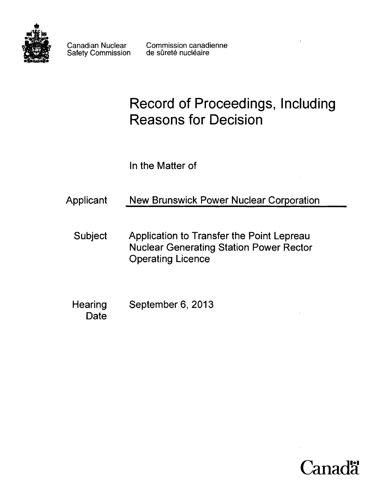

Canadian Nuclear Commission canadienne Safety Commission de sûreté nucléaire

# Record of Proceedings, Including Reasons for Decision

In the Matter of

| Applicant      | New Brunswick Power Nuclear Corporation                                                                                 |  |
|----------------|-------------------------------------------------------------------------------------------------------------------------|--|
| <b>Subject</b> | Application to Transfer the Point Lepreau<br><b>Nuclear Generating Station Power Rector</b><br><b>Operating Licence</b> |  |
|                |                                                                                                                         |  |

Hearing September 6, 2013 Date

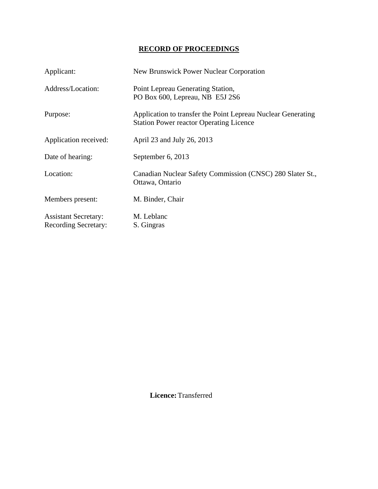# **RECORD OF PROCEEDINGS**

| Applicant:                                                 | <b>New Brunswick Power Nuclear Corporation</b>                                                                 |
|------------------------------------------------------------|----------------------------------------------------------------------------------------------------------------|
| Address/Location:                                          | Point Lepreau Generating Station,<br>PO Box 600, Lepreau, NB E5J 2S6                                           |
| Purpose:                                                   | Application to transfer the Point Lepreau Nuclear Generating<br><b>Station Power reactor Operating Licence</b> |
| Application received:                                      | April 23 and July 26, 2013                                                                                     |
| Date of hearing:                                           | September 6, 2013                                                                                              |
| Location:                                                  | Canadian Nuclear Safety Commission (CNSC) 280 Slater St.,<br>Ottawa, Ontario                                   |
| Members present:                                           | M. Binder, Chair                                                                                               |
| <b>Assistant Secretary:</b><br><b>Recording Secretary:</b> | M. Leblanc<br>S. Gingras                                                                                       |

 **Licence:** Transferred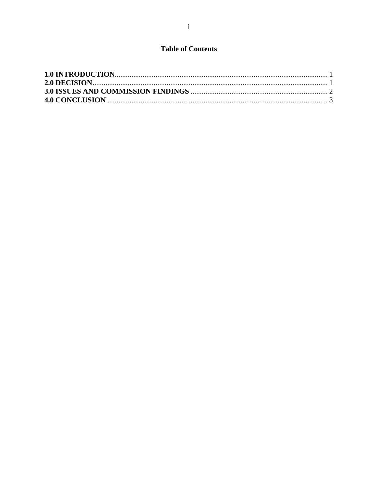# **Table of Contents**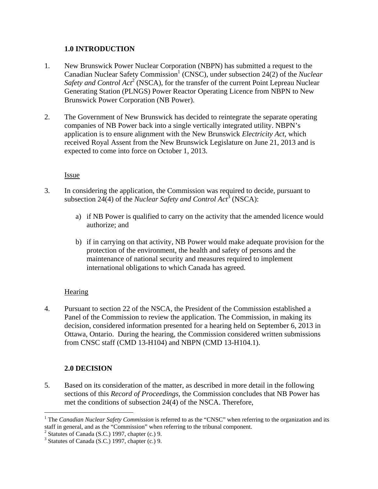## **1.0 INTRODUCTION**

- 1. New Brunswick Power Nuclear Corporation (NBPN) has submitted a request to the Canadian Nuclear Safety Commission<sup>1</sup> (CNSC), under subsection 24(2) of the *Nuclear Safety and Control Act<sup>2</sup>* (NSCA), for the transfer of the current Point Lepreau Nuclear Generating Station (PLNGS) Power Reactor Operating Licence from NBPN to New Brunswick Power Corporation (NB Power).
- 2. The Government of New Brunswick has decided to reintegrate the separate operating companies of NB Power back into a single vertically integrated utility. NBPN's application is to ensure alignment with the New Brunswick *Electricity Act*, which received Royal Assent from the New Brunswick Legislature on June 21, 2013 and is expected to come into force on October 1, 2013.

#### Issue

- 3. In considering the application, the Commission was required to decide, pursuant to subsection 24(4) of the *Nuclear Safety and Control Act*<sup>3</sup> (NSCA):
	- a) if NB Power is qualified to carry on the activity that the amended licence would authorize; and
	- b) if in carrying on that activity, NB Power would make adequate provision for the protection of the environment, the health and safety of persons and the maintenance of national security and measures required to implement international obligations to which Canada has agreed.

## **Hearing**

4. Pursuant to section 22 of the NSCA, the President of the Commission established a Panel of the Commission to review the application. The Commission, in making its decision, considered information presented for a hearing held on September 6, 2013 in Ottawa, Ontario. During the hearing, the Commission considered written submissions from CNSC staff (CMD 13-H104) and NBPN (CMD 13-H104.1).

## **2.0 DECISION**

 $\overline{a}$ 

5. Based on its consideration of the matter, as described in more detail in the following sections of this *Record of Proceedings*, the Commission concludes that NB Power has met the conditions of subsection 24(4) of the NSCA. Therefore,

<sup>&</sup>lt;sup>1</sup> The *Canadian Nuclear Safety Commission* is referred to as the "CNSC" when referring to the organization and its staff in general, and as the "Commission" when referring to the tribunal component.

 $2$  Statutes of Canada (S.C.) 1997, chapter (c.) 9.

<sup>3</sup> Statutes of Canada (S.C.) 1997, chapter (c.) 9.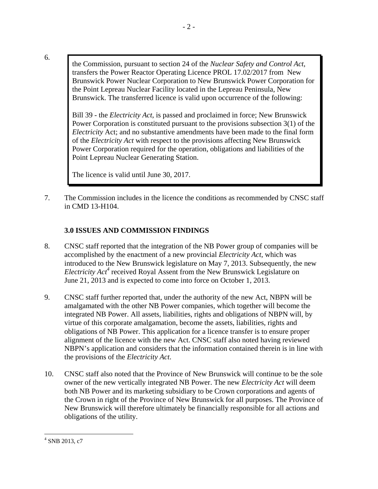6.

the Commission, pursuant to section 24 of the *Nuclear Safety and Control Act*, transfers the Power Reactor Operating Licence PROL 17.02/2017 from New Brunswick Power Nuclear Corporation to New Brunswick Power Corporation for the Point Lepreau Nuclear Facility located in the Lepreau Peninsula, New Brunswick. The transferred licence is valid upon occurrence of the following:

- 2 -

Bill 39 - the *Electricity Act*, is passed and proclaimed in force; New Brunswick Power Corporation is constituted pursuant to the provisions subsection 3(1) of the *Electricity* Act; and no substantive amendments have been made to the final form of the *Electricity Act* with respect to the provisions affecting New Brunswick Power Corporation required for the operation, obligations and liabilities of the Point Lepreau Nuclear Generating Station.

The licence is valid until June 30, 2017.

7. The Commission includes in the licence the conditions as recommended by CNSC staff in CMD 13-H104.

# **3.0 ISSUES AND COMMISSION FINDINGS**

- 8. CNSC staff reported that the integration of the NB Power group of companies will be accomplished by the enactment of a new provincial *Electricity Act*, which was introduced to the New Brunswick legislature on May 7, 2013. Subsequently, the new Electricity Act<sup>4</sup> received Royal Assent from the New Brunswick Legislature on June 21, 2013 and is expected to come into force on October 1, 2013.
- 9. CNSC staff further reported that, under the authority of the new Act, NBPN will be amalgamated with the other NB Power companies, which together will become the integrated NB Power. All assets, liabilities, rights and obligations of NBPN will, by virtue of this corporate amalgamation, become the assets, liabilities, rights and obligations of NB Power. This application for a licence transfer is to ensure proper alignment of the licence with the new Act. CNSC staff also noted having reviewed NBPN's application and considers that the information contained therein is in line with the provisions of the *Electricity Act*.
- 10. CNSC staff also noted that the Province of New Brunswick will continue to be the sole owner of the new vertically integrated NB Power. The new *Electricity Act* will deem both NB Power and its marketing subsidiary to be Crown corporations and agents of the Crown in right of the Province of New Brunswick for all purposes. The Province of New Brunswick will therefore ultimately be financially responsible for all actions and obligations of the utility.

 $\overline{a}$ 4 SNB 2013, c7